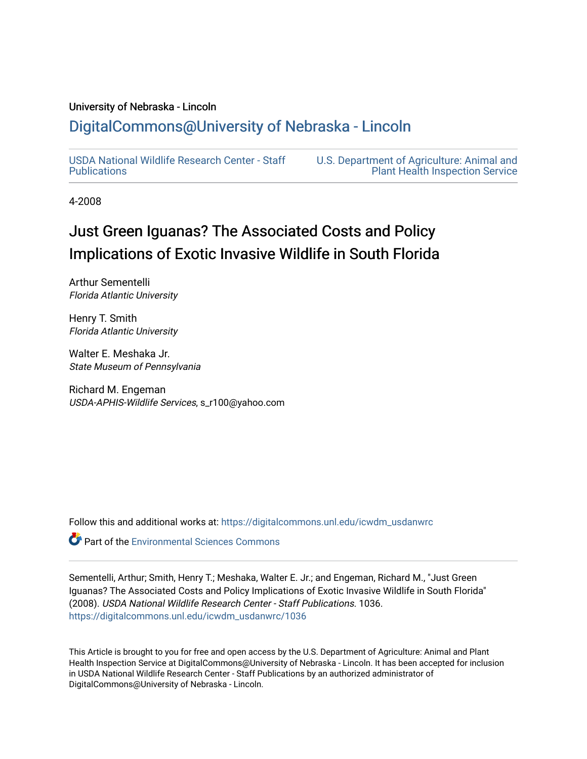# University of Nebraska - Lincoln

# [DigitalCommons@University of Nebraska - Lincoln](https://digitalcommons.unl.edu/)

[USDA National Wildlife Research Center - Staff](https://digitalcommons.unl.edu/icwdm_usdanwrc)  [Publications](https://digitalcommons.unl.edu/icwdm_usdanwrc) 

[U.S. Department of Agriculture: Animal and](https://digitalcommons.unl.edu/usdaaphis)  [Plant Health Inspection Service](https://digitalcommons.unl.edu/usdaaphis) 

4-2008

# Just Green Iguanas? The Associated Costs and Policy Implications of Exotic Invasive Wildlife in South Florida

Arthur Sementelli Florida Atlantic University

Henry T. Smith Florida Atlantic University

Walter E. Meshaka Jr. State Museum of Pennsylvania

Richard M. Engeman USDA-APHIS-Wildlife Services, s\_r100@yahoo.com

Follow this and additional works at: [https://digitalcommons.unl.edu/icwdm\\_usdanwrc](https://digitalcommons.unl.edu/icwdm_usdanwrc?utm_source=digitalcommons.unl.edu%2Ficwdm_usdanwrc%2F1036&utm_medium=PDF&utm_campaign=PDFCoverPages)

**C** Part of the [Environmental Sciences Commons](http://network.bepress.com/hgg/discipline/167?utm_source=digitalcommons.unl.edu%2Ficwdm_usdanwrc%2F1036&utm_medium=PDF&utm_campaign=PDFCoverPages)

Sementelli, Arthur; Smith, Henry T.; Meshaka, Walter E. Jr.; and Engeman, Richard M., "Just Green Iguanas? The Associated Costs and Policy Implications of Exotic Invasive Wildlife in South Florida" (2008). USDA National Wildlife Research Center - Staff Publications. 1036. [https://digitalcommons.unl.edu/icwdm\\_usdanwrc/1036](https://digitalcommons.unl.edu/icwdm_usdanwrc/1036?utm_source=digitalcommons.unl.edu%2Ficwdm_usdanwrc%2F1036&utm_medium=PDF&utm_campaign=PDFCoverPages) 

This Article is brought to you for free and open access by the U.S. Department of Agriculture: Animal and Plant Health Inspection Service at DigitalCommons@University of Nebraska - Lincoln. It has been accepted for inclusion in USDA National Wildlife Research Center - Staff Publications by an authorized administrator of DigitalCommons@University of Nebraska - Lincoln.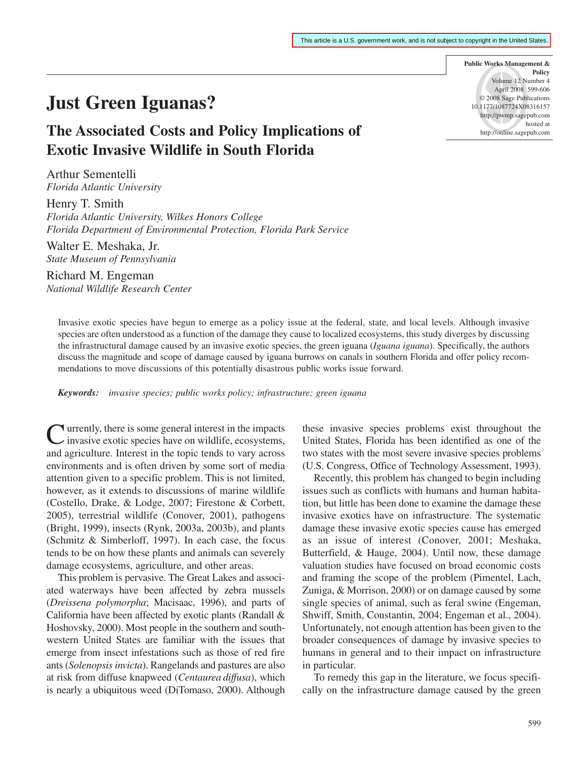# **Just Green Iguanas?**

# **The Associated Costs and Policy Implications of Exotic Invasive Wildlife in South Florida**

Arthur Sementelli *Florida Atlantic University*

Henry T. Smith *Florida Atlantic University, Wilkes Honors College Florida Department of Environmental Protection, Florida Park Service*

Walter E. Meshaka, Jr. *State Museum of Pennsylvania*

Richard M. Engeman *National Wildlife Research Center* **Public Works Management & Policy** Volume 12 Number 4 April 2008 599-606 © 2008 Sage Publications 10.1177/1087724X08316157 http://pwmp.sagepub.com hosted at http://online.sagepub.com

Invasive exotic species have begun to emerge as a policy issue at the federal, state, and local levels. Although invasive species are often understood as a function of the damage they cause to localized ecosystems, this study diverges by discussing the infrastructural damage caused by an invasive exotic species, the green iguana (*Iguana iguana*). Specifically, the authors discuss the magnitude and scope of damage caused by iguana burrows on canals in southern Florida and offer policy recommendations to move discussions of this potentially disastrous public works issue forward.

*Keywords: invasive species; public works policy; infrastructure; green iguana*

Currently, there is some general interest in the impacts invasive exotic species have on wildlife, ecosystems, and agriculture. Interest in the topic tends to vary across environments and is often driven by some sort of media attention given to a specific problem. This is not limited, however, as it extends to discussions of marine wildlife (Costello, Drake, & Lodge, 2007; Firestone & Corbett, 2005), terrestrial wildlife (Conover, 2001), pathogens (Bright, 1999), insects (Rynk, 2003a, 2003b), and plants (Schmitz & Simberloff, 1997). In each case, the focus tends to be on how these plants and animals can severely damage ecosystems, agriculture, and other areas.

This problem is pervasive. The Great Lakes and associated waterways have been affected by zebra mussels (*Dreissena polymorpha*; Macisaac, 1996), and parts of California have been affected by exotic plants (Randall & Hoshovsky, 2000). Most people in the southern and southwestern United States are familiar with the issues that emerge from insect infestations such as those of red fire ants (*Solenopsis invicta*). Rangelands and pastures are also at risk from diffuse knapweed (*Centaurea diffusa*), which is nearly a ubiquitous weed (DiTomaso, 2000). Although

these invasive species problems exist throughout the United States, Florida has been identified as one of the two states with the most severe invasive species problems (U.S. Congress, Office of Technology Assessment, 1993).

Recently, this problem has changed to begin including issues such as conflicts with humans and human habitation, but little has been done to examine the damage these invasive exotics have on infrastructure. The systematic damage these invasive exotic species cause has emerged as an issue of interest (Conover, 2001; Meshaka, Butterfield, & Hauge, 2004). Until now, these damage valuation studies have focused on broad economic costs and framing the scope of the problem (Pimentel, Lach, Zuniga, & Morrison, 2000) or on damage caused by some single species of animal, such as feral swine (Engeman, Shwiff, Smith, Constantin, 2004; Engeman et al., 2004). Unfortunately, not enough attention has been given to the broader consequences of damage by invasive species to humans in general and to their impact on infrastructure in particular.

To remedy this gap in the literature, we focus specifically on the infrastructure damage caused by the green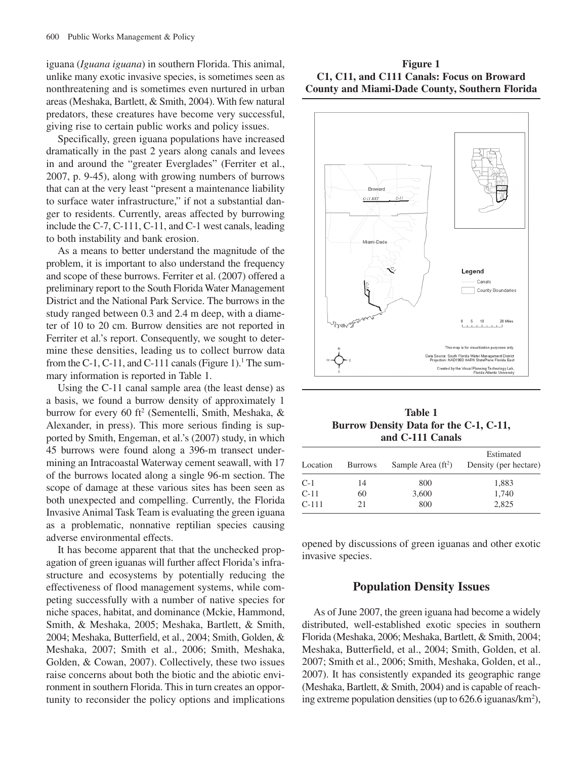iguana (*Iguana iguana*) in southern Florida. This animal, unlike many exotic invasive species, is sometimes seen as nonthreatening and is sometimes even nurtured in urban areas (Meshaka, Bartlett, & Smith, 2004). With few natural predators, these creatures have become very successful, giving rise to certain public works and policy issues.

Specifically, green iguana populations have increased dramatically in the past 2 years along canals and levees in and around the "greater Everglades" (Ferriter et al., 2007, p. 9-45), along with growing numbers of burrows that can at the very least "present a maintenance liability to surface water infrastructure," if not a substantial danger to residents. Currently, areas affected by burrowing include the C-7, C-111, C-11, and C-1 west canals, leading to both instability and bank erosion.

As a means to better understand the magnitude of the problem, it is important to also understand the frequency and scope of these burrows. Ferriter et al. (2007) offered a preliminary report to the South Florida Water Management District and the National Park Service. The burrows in the study ranged between 0.3 and 2.4 m deep, with a diameter of 10 to 20 cm. Burrow densities are not reported in Ferriter et al.'s report. Consequently, we sought to determine these densities, leading us to collect burrow data from the C-1, C-11, and C-111 canals (Figure 1).<sup>1</sup> The summary information is reported in Table 1.

Using the C-11 canal sample area (the least dense) as a basis, we found a burrow density of approximately 1 burrow for every 60 ft<sup>2</sup> (Sementelli, Smith, Meshaka, & Alexander, in press). This more serious finding is supported by Smith, Engeman, et al.'s (2007) study, in which 45 burrows were found along a 396-m transect undermining an Intracoastal Waterway cement seawall, with 17 of the burrows located along a single 96-m section. The scope of damage at these various sites has been seen as both unexpected and compelling. Currently, the Florida Invasive Animal Task Team is evaluating the green iguana as a problematic, nonnative reptilian species causing adverse environmental effects.

It has become apparent that that the unchecked propagation of green iguanas will further affect Florida's infrastructure and ecosystems by potentially reducing the effectiveness of flood management systems, while competing successfully with a number of native species for niche spaces, habitat, and dominance (Mckie, Hammond, Smith, & Meshaka, 2005; Meshaka, Bartlett, & Smith, 2004; Meshaka, Butterfield, et al., 2004; Smith, Golden, & Meshaka, 2007; Smith et al., 2006; Smith, Meshaka, Golden, & Cowan, 2007). Collectively, these two issues raise concerns about both the biotic and the abiotic environment in southern Florida. This in turn creates an opportunity to reconsider the policy options and implications





**Table 1 Burrow Density Data for the C-1, C-11, and C-111 Canals**

| Location | <b>Burrows</b> | Sample Area $(ft^2)$ | Estimated<br>Density (per hectare) |
|----------|----------------|----------------------|------------------------------------|
| $C-1$    | 14             | 800                  | 1,883                              |
| $C-11$   | 60             | 3,600                | 1,740                              |
| $C-111$  | 21             | 800                  | 2,825                              |

opened by discussions of green iguanas and other exotic invasive species.

### **Population Density Issues**

As of June 2007, the green iguana had become a widely distributed, well-established exotic species in southern Florida (Meshaka, 2006; Meshaka, Bartlett, & Smith, 2004; Meshaka, Butterfield, et al., 2004; Smith, Golden, et al. 2007; Smith et al., 2006; Smith, Meshaka, Golden, et al., 2007). It has consistently expanded its geographic range (Meshaka, Bartlett, & Smith, 2004) and is capable of reaching extreme population densities (up to  $626.6$  iguanas/km<sup>2</sup>),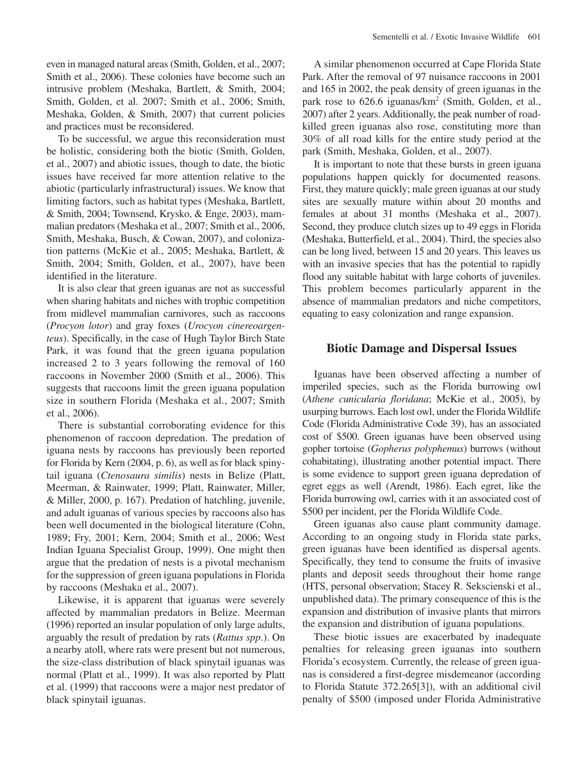even in managed natural areas (Smith, Golden, et al., 2007; Smith et al., 2006). These colonies have become such an intrusive problem (Meshaka, Bartlett, & Smith, 2004; Smith, Golden, et al. 2007; Smith et al., 2006; Smith, Meshaka, Golden, & Smith, 2007) that current policies and practices must be reconsidered.

To be successful, we argue this reconsideration must be holistic, considering both the biotic (Smith, Golden, et al., 2007) and abiotic issues, though to date, the biotic issues have received far more attention relative to the abiotic (particularly infrastructural) issues. We know that limiting factors, such as habitat types (Meshaka, Bartlett, & Smith, 2004; Townsend, Krysko, & Enge, 2003), mammalian predators (Meshaka et al., 2007; Smith et al., 2006, Smith, Meshaka, Busch, & Cowan, 2007), and colonization patterns (McKie et al., 2005; Meshaka, Bartlett, & Smith, 2004; Smith, Golden, et al., 2007), have been identified in the literature.

It is also clear that green iguanas are not as successful when sharing habitats and niches with trophic competition from midlevel mammalian carnivores, such as raccoons (*Procyon lotor*) and gray foxes (*Urocyon cinereoargenteus*). Specifically, in the case of Hugh Taylor Birch State Park, it was found that the green iguana population increased 2 to 3 years following the removal of 160 raccoons in November 2000 (Smith et al., 2006). This suggests that raccoons limit the green iguana population size in southern Florida (Meshaka et al., 2007; Smith et al., 2006).

There is substantial corroborating evidence for this phenomenon of raccoon depredation. The predation of iguana nests by raccoons has previously been reported for Florida by Kern (2004, p. 6), as well as for black spinytail iguana (*Ctenosaura similis*) nests in Belize (Platt, Meerman, & Rainwater, 1999; Platt, Rainwater, Miller, & Miller, 2000, p. 167). Predation of hatchling, juvenile, and adult iguanas of various species by raccoons also has been well documented in the biological literature (Cohn, 1989; Fry, 2001; Kern, 2004; Smith et al., 2006; West Indian Iguana Specialist Group, 1999). One might then argue that the predation of nests is a pivotal mechanism for the suppression of green iguana populations in Florida by raccoons (Meshaka et al., 2007).

Likewise, it is apparent that iguanas were severely affected by mammalian predators in Belize. Meerman (1996) reported an insular population of only large adults, arguably the result of predation by rats (*Rattus spp*.). On a nearby atoll, where rats were present but not numerous, the size-class distribution of black spinytail iguanas was normal (Platt et al., 1999). It was also reported by Platt et al. (1999) that raccoons were a major nest predator of black spinytail iguanas.

A similar phenomenon occurred at Cape Florida State Park. After the removal of 97 nuisance raccoons in 2001 and 165 in 2002, the peak density of green iguanas in the park rose to  $626.6$  iguanas/km<sup>2</sup> (Smith, Golden, et al., 2007) after 2 years. Additionally, the peak number of roadkilled green iguanas also rose, constituting more than 30% of all road kills for the entire study period at the park (Smith, Meshaka, Golden, et al., 2007).

It is important to note that these bursts in green iguana populations happen quickly for documented reasons. First, they mature quickly; male green iguanas at our study sites are sexually mature within about 20 months and females at about 31 months (Meshaka et al., 2007). Second, they produce clutch sizes up to 49 eggs in Florida (Meshaka, Butterfield, et al., 2004). Third, the species also can be long lived, between 15 and 20 years. This leaves us with an invasive species that has the potential to rapidly flood any suitable habitat with large cohorts of juveniles. This problem becomes particularly apparent in the absence of mammalian predators and niche competitors, equating to easy colonization and range expansion.

# **Biotic Damage and Dispersal Issues**

Iguanas have been observed affecting a number of imperiled species, such as the Florida burrowing owl (*Athene cunicularia floridana*; McKie et al., 2005), by usurping burrows. Each lost owl, under the Florida Wildlife Code (Florida Administrative Code 39), has an associated cost of \$500. Green iguanas have been observed using gopher tortoise (*Gopherus polyphemus*) burrows (without cohabitating), illustrating another potential impact. There is some evidence to support green iguana depredation of egret eggs as well (Arendt, 1986). Each egret, like the Florida burrowing owl, carries with it an associated cost of \$500 per incident, per the Florida Wildlife Code.

Green iguanas also cause plant community damage. According to an ongoing study in Florida state parks, green iguanas have been identified as dispersal agents. Specifically, they tend to consume the fruits of invasive plants and deposit seeds throughout their home range (HTS, personal observation; Stacey R. Sekscienski et al., unpublished data). The primary consequence of this is the expansion and distribution of invasive plants that mirrors the expansion and distribution of iguana populations.

These biotic issues are exacerbated by inadequate penalties for releasing green iguanas into southern Florida's ecosystem. Currently, the release of green iguanas is considered a first-degree misdemeanor (according to Florida Statute 372.265[3]), with an additional civil penalty of \$500 (imposed under Florida Administrative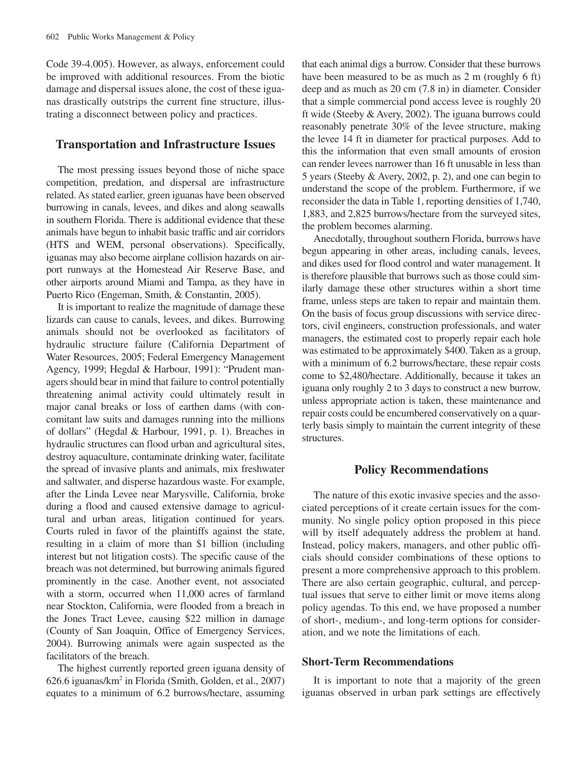Code 39-4.005). However, as always, enforcement could be improved with additional resources. From the biotic damage and dispersal issues alone, the cost of these iguanas drastically outstrips the current fine structure, illustrating a disconnect between policy and practices.

## **Transportation and Infrastructure Issues**

The most pressing issues beyond those of niche space competition, predation, and dispersal are infrastructure related. As stated earlier, green iguanas have been observed burrowing in canals, levees, and dikes and along seawalls in southern Florida. There is additional evidence that these animals have begun to inhabit basic traffic and air corridors (HTS and WEM, personal observations). Specifically, iguanas may also become airplane collision hazards on airport runways at the Homestead Air Reserve Base, and other airports around Miami and Tampa, as they have in Puerto Rico (Engeman, Smith, & Constantin, 2005).

It is important to realize the magnitude of damage these lizards can cause to canals, levees, and dikes. Burrowing animals should not be overlooked as facilitators of hydraulic structure failure (California Department of Water Resources, 2005; Federal Emergency Management Agency, 1999; Hegdal & Harbour, 1991): "Prudent managers should bear in mind that failure to control potentially threatening animal activity could ultimately result in major canal breaks or loss of earthen dams (with concomitant law suits and damages running into the millions of dollars" (Hegdal & Harbour, 1991, p. 1). Breaches in hydraulic structures can flood urban and agricultural sites, destroy aquaculture, contaminate drinking water, facilitate the spread of invasive plants and animals, mix freshwater and saltwater, and disperse hazardous waste. For example, after the Linda Levee near Marysville, California, broke during a flood and caused extensive damage to agricultural and urban areas, litigation continued for years. Courts ruled in favor of the plaintiffs against the state, resulting in a claim of more than \$1 billion (including interest but not litigation costs). The specific cause of the breach was not determined, but burrowing animals figured prominently in the case. Another event, not associated with a storm, occurred when 11,000 acres of farmland near Stockton, California, were flooded from a breach in the Jones Tract Levee, causing \$22 million in damage (County of San Joaquin, Office of Emergency Services, 2004). Burrowing animals were again suspected as the facilitators of the breach.

The highest currently reported green iguana density of 626.6 iguanas/km2 in Florida (Smith, Golden, et al., 2007) equates to a minimum of 6.2 burrows/hectare, assuming

that each animal digs a burrow. Consider that these burrows have been measured to be as much as 2 m (roughly 6 ft) deep and as much as 20 cm (7.8 in) in diameter. Consider that a simple commercial pond access levee is roughly 20 ft wide (Steeby & Avery, 2002). The iguana burrows could reasonably penetrate 30% of the levee structure, making the levee 14 ft in diameter for practical purposes. Add to this the information that even small amounts of erosion can render levees narrower than 16 ft unusable in less than 5 years (Steeby & Avery, 2002, p. 2), and one can begin to understand the scope of the problem. Furthermore, if we reconsider the data in Table 1, reporting densities of 1,740, 1,883, and 2,825 burrows/hectare from the surveyed sites, the problem becomes alarming.

Anecdotally, throughout southern Florida, burrows have begun appearing in other areas, including canals, levees, and dikes used for flood control and water management. It is therefore plausible that burrows such as those could similarly damage these other structures within a short time frame, unless steps are taken to repair and maintain them. On the basis of focus group discussions with service directors, civil engineers, construction professionals, and water managers, the estimated cost to properly repair each hole was estimated to be approximately \$400. Taken as a group, with a minimum of 6.2 burrows/hectare, these repair costs come to \$2,480/hectare. Additionally, because it takes an iguana only roughly 2 to 3 days to construct a new burrow, unless appropriate action is taken, these maintenance and repair costs could be encumbered conservatively on a quarterly basis simply to maintain the current integrity of these structures.

#### **Policy Recommendations**

The nature of this exotic invasive species and the associated perceptions of it create certain issues for the community. No single policy option proposed in this piece will by itself adequately address the problem at hand. Instead, policy makers, managers, and other public officials should consider combinations of these options to present a more comprehensive approach to this problem. There are also certain geographic, cultural, and perceptual issues that serve to either limit or move items along policy agendas. To this end, we have proposed a number of short-, medium-, and long-term options for consideration, and we note the limitations of each.

#### **Short-Term Recommendations**

It is important to note that a majority of the green iguanas observed in urban park settings are effectively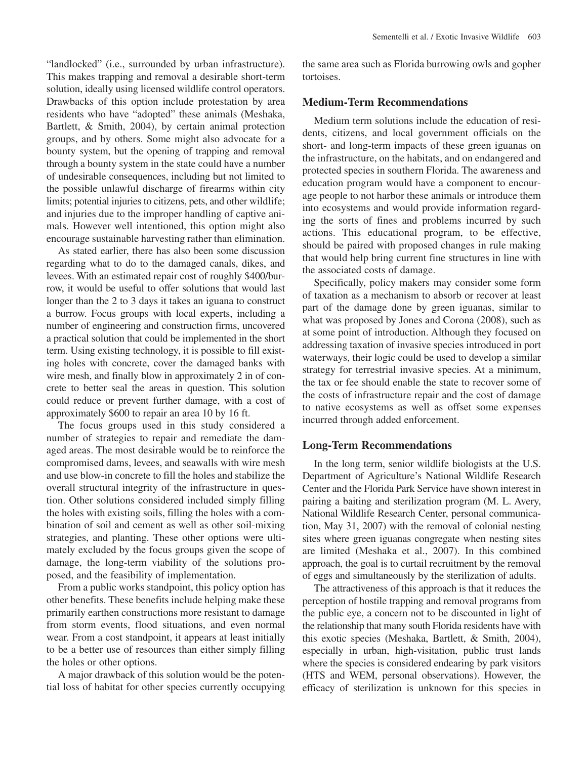"landlocked" (i.e., surrounded by urban infrastructure). This makes trapping and removal a desirable short-term solution, ideally using licensed wildlife control operators. Drawbacks of this option include protestation by area residents who have "adopted" these animals (Meshaka, Bartlett, & Smith, 2004), by certain animal protection groups, and by others. Some might also advocate for a bounty system, but the opening of trapping and removal through a bounty system in the state could have a number of undesirable consequences, including but not limited to the possible unlawful discharge of firearms within city limits; potential injuries to citizens, pets, and other wildlife; and injuries due to the improper handling of captive animals. However well intentioned, this option might also encourage sustainable harvesting rather than elimination.

As stated earlier, there has also been some discussion regarding what to do to the damaged canals, dikes, and levees. With an estimated repair cost of roughly \$400/burrow, it would be useful to offer solutions that would last longer than the 2 to 3 days it takes an iguana to construct a burrow. Focus groups with local experts, including a number of engineering and construction firms, uncovered a practical solution that could be implemented in the short term. Using existing technology, it is possible to fill existing holes with concrete, cover the damaged banks with wire mesh, and finally blow in approximately 2 in of concrete to better seal the areas in question. This solution could reduce or prevent further damage, with a cost of approximately \$600 to repair an area 10 by 16 ft.

The focus groups used in this study considered a number of strategies to repair and remediate the damaged areas. The most desirable would be to reinforce the compromised dams, levees, and seawalls with wire mesh and use blow-in concrete to fill the holes and stabilize the overall structural integrity of the infrastructure in question. Other solutions considered included simply filling the holes with existing soils, filling the holes with a combination of soil and cement as well as other soil-mixing strategies, and planting. These other options were ultimately excluded by the focus groups given the scope of damage, the long-term viability of the solutions proposed, and the feasibility of implementation.

From a public works standpoint, this policy option has other benefits. These benefits include helping make these primarily earthen constructions more resistant to damage from storm events, flood situations, and even normal wear. From a cost standpoint, it appears at least initially to be a better use of resources than either simply filling the holes or other options.

A major drawback of this solution would be the potential loss of habitat for other species currently occupying the same area such as Florida burrowing owls and gopher tortoises.

#### **Medium-Term Recommendations**

Medium term solutions include the education of residents, citizens, and local government officials on the short- and long-term impacts of these green iguanas on the infrastructure, on the habitats, and on endangered and protected species in southern Florida. The awareness and education program would have a component to encourage people to not harbor these animals or introduce them into ecosystems and would provide information regarding the sorts of fines and problems incurred by such actions. This educational program, to be effective, should be paired with proposed changes in rule making that would help bring current fine structures in line with the associated costs of damage.

Specifically, policy makers may consider some form of taxation as a mechanism to absorb or recover at least part of the damage done by green iguanas, similar to what was proposed by Jones and Corona (2008), such as at some point of introduction. Although they focused on addressing taxation of invasive species introduced in port waterways, their logic could be used to develop a similar strategy for terrestrial invasive species. At a minimum, the tax or fee should enable the state to recover some of the costs of infrastructure repair and the cost of damage to native ecosystems as well as offset some expenses incurred through added enforcement.

#### **Long-Term Recommendations**

In the long term, senior wildlife biologists at the U.S. Department of Agriculture's National Wildlife Research Center and the Florida Park Service have shown interest in pairing a baiting and sterilization program (M. L. Avery, National Wildlife Research Center, personal communication, May 31, 2007) with the removal of colonial nesting sites where green iguanas congregate when nesting sites are limited (Meshaka et al., 2007). In this combined approach, the goal is to curtail recruitment by the removal of eggs and simultaneously by the sterilization of adults.

The attractiveness of this approach is that it reduces the perception of hostile trapping and removal programs from the public eye, a concern not to be discounted in light of the relationship that many south Florida residents have with this exotic species (Meshaka, Bartlett, & Smith, 2004), especially in urban, high-visitation, public trust lands where the species is considered endearing by park visitors (HTS and WEM, personal observations). However, the efficacy of sterilization is unknown for this species in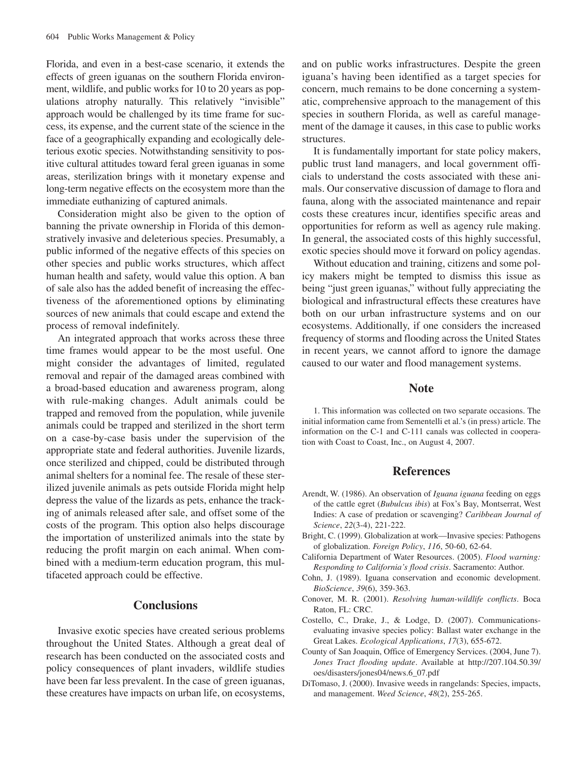Florida, and even in a best-case scenario, it extends the effects of green iguanas on the southern Florida environment, wildlife, and public works for 10 to 20 years as populations atrophy naturally. This relatively "invisible" approach would be challenged by its time frame for success, its expense, and the current state of the science in the face of a geographically expanding and ecologically deleterious exotic species. Notwithstanding sensitivity to positive cultural attitudes toward feral green iguanas in some areas, sterilization brings with it monetary expense and long-term negative effects on the ecosystem more than the immediate euthanizing of captured animals.

Consideration might also be given to the option of banning the private ownership in Florida of this demonstratively invasive and deleterious species. Presumably, a public informed of the negative effects of this species on other species and public works structures, which affect human health and safety, would value this option. A ban of sale also has the added benefit of increasing the effectiveness of the aforementioned options by eliminating sources of new animals that could escape and extend the process of removal indefinitely.

An integrated approach that works across these three time frames would appear to be the most useful. One might consider the advantages of limited, regulated removal and repair of the damaged areas combined with a broad-based education and awareness program, along with rule-making changes. Adult animals could be trapped and removed from the population, while juvenile animals could be trapped and sterilized in the short term on a case-by-case basis under the supervision of the appropriate state and federal authorities. Juvenile lizards, once sterilized and chipped, could be distributed through animal shelters for a nominal fee. The resale of these sterilized juvenile animals as pets outside Florida might help depress the value of the lizards as pets, enhance the tracking of animals released after sale, and offset some of the costs of the program. This option also helps discourage the importation of unsterilized animals into the state by reducing the profit margin on each animal. When combined with a medium-term education program, this multifaceted approach could be effective.

## **Conclusions**

Invasive exotic species have created serious problems throughout the United States. Although a great deal of research has been conducted on the associated costs and policy consequences of plant invaders, wildlife studies have been far less prevalent. In the case of green iguanas, these creatures have impacts on urban life, on ecosystems,

and on public works infrastructures. Despite the green iguana's having been identified as a target species for concern, much remains to be done concerning a systematic, comprehensive approach to the management of this species in southern Florida, as well as careful management of the damage it causes, in this case to public works structures.

It is fundamentally important for state policy makers, public trust land managers, and local government officials to understand the costs associated with these animals. Our conservative discussion of damage to flora and fauna, along with the associated maintenance and repair costs these creatures incur, identifies specific areas and opportunities for reform as well as agency rule making. In general, the associated costs of this highly successful, exotic species should move it forward on policy agendas.

Without education and training, citizens and some policy makers might be tempted to dismiss this issue as being "just green iguanas," without fully appreciating the biological and infrastructural effects these creatures have both on our urban infrastructure systems and on our ecosystems. Additionally, if one considers the increased frequency of storms and flooding across the United States in recent years, we cannot afford to ignore the damage caused to our water and flood management systems.

#### **Note**

1. This information was collected on two separate occasions. The initial information came from Sementelli et al.'s (in press) article. The information on the C-1 and C-111 canals was collected in cooperation with Coast to Coast, Inc., on August 4, 2007.

# **References**

- Arendt, W. (1986). An observation of *Iguana iguana* feeding on eggs of the cattle egret (*Bubulcus ibis*) at Fox's Bay, Montserrat, West Indies: A case of predation or scavenging? *Caribbean Journal of Science*, *22*(3-4), 221-222.
- Bright, C. (1999). Globalization at work—Invasive species: Pathogens of globalization. *Foreign Policy*, *116*, 50-60, 62-64.
- California Department of Water Resources. (2005). *Flood warning: Responding to California's flood crisis*. Sacramento: Author.
- Cohn, J. (1989). Iguana conservation and economic development. *BioScience*, *39*(6), 359-363.
- Conover, M. R. (2001). *Resolving human-wildlife conflicts*. Boca Raton, FL: CRC.
- Costello, C., Drake, J., & Lodge, D. (2007). Communicationsevaluating invasive species policy: Ballast water exchange in the Great Lakes. *Ecological Applications*, *17*(3), 655-672.
- County of San Joaquin, Office of Emergency Services. (2004, June 7). *Jones Tract flooding update*. Available at http://207.104.50.39/ oes/disasters/jones04/news.6\_07.pdf
- DiTomaso, J. (2000). Invasive weeds in rangelands: Species, impacts, and management. *Weed Science*, *48*(2), 255-265.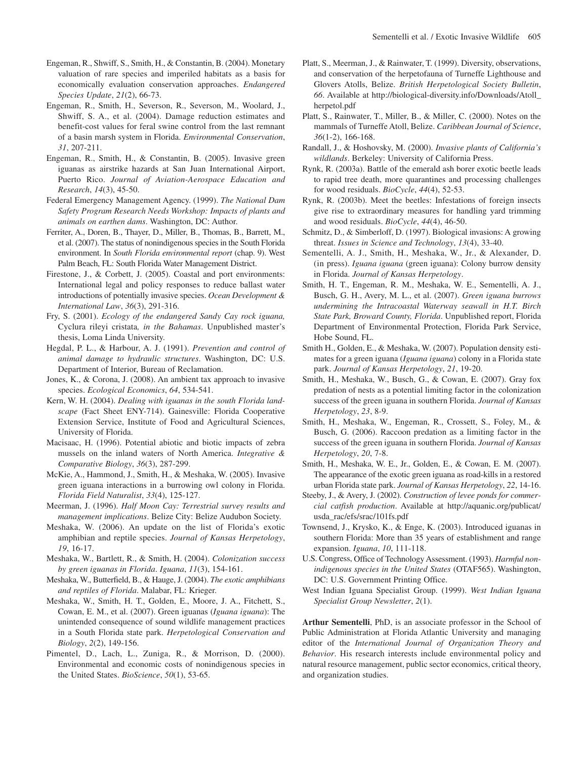- Engeman, R., Shwiff, S., Smith, H., & Constantin, B. (2004). Monetary valuation of rare species and imperiled habitats as a basis for economically evaluation conservation approaches. *Endangered Species Update*, *21*(2), 66-73.
- Engeman, R., Smith, H., Severson, R., Severson, M., Woolard, J., Shwiff, S. A., et al. (2004). Damage reduction estimates and benefit-cost values for feral swine control from the last remnant of a basin marsh system in Florida. *Environmental Conservation*, *31*, 207-211.
- Engeman, R., Smith, H., & Constantin, B. (2005). Invasive green iguanas as airstrike hazards at San Juan International Airport, Puerto Rico. *Journal of Aviation-Aerospace Education and Research*, *14*(3), 45-50.
- Federal Emergency Management Agency. (1999). *The National Dam Safety Program Research Needs Workshop: Impacts of plants and animals on earthen dams*. Washington, DC: Author.
- Ferriter, A., Doren, B., Thayer, D., Miller, B., Thomas, B., Barrett, M., et al. (2007). The status of nonindigenous species in the South Florida environment. In *South Florida environmental report* (chap. 9). West Palm Beach, FL: South Florida Water Management District.
- Firestone, J., & Corbett, J. (2005). Coastal and port environments: International legal and policy responses to reduce ballast water introductions of potentially invasive species. *Ocean Development & International Law*, *36*(3), 291-316.
- Fry, S. (2001). *Ecology of the endangered Sandy Cay rock iguana,* Cyclura rileyi cristata*, in the Bahamas*. Unpublished master's thesis, Loma Linda University.
- Hegdal, P. L., & Harbour, A. J. (1991). *Prevention and control of animal damage to hydraulic structures*. Washington, DC: U.S. Department of Interior, Bureau of Reclamation.
- Jones, K., & Corona, J. (2008). An ambient tax approach to invasive species. *Ecological Economics*, *64*, 534-541.
- Kern, W. H. (2004). *Dealing with iguanas in the south Florida landscape* (Fact Sheet ENY-714). Gainesville: Florida Cooperative Extension Service, Institute of Food and Agricultural Sciences, University of Florida.
- Macisaac, H. (1996). Potential abiotic and biotic impacts of zebra mussels on the inland waters of North America. *Integrative & Comparative Biology*, *36*(3), 287-299.
- McKie, A., Hammond, J., Smith, H., & Meshaka, W. (2005). Invasive green iguana interactions in a burrowing owl colony in Florida. *Florida Field Naturalist*, *33*(4), 125-127.
- Meerman, J. (1996). *Half Moon Cay: Terrestrial survey results and management implications*. Belize City: Belize Audubon Society.
- Meshaka, W. (2006). An update on the list of Florida's exotic amphibian and reptile species. *Journal of Kansas Herpetology*, *19*, 16-17.
- Meshaka, W., Bartlett, R., & Smith, H. (2004). *Colonization success by green iguanas in Florida*. *Iguana*, *11*(3), 154-161.
- Meshaka, W., Butterfield, B., & Hauge, J. (2004). *The exotic amphibians and reptiles of Florida*. Malabar, FL: Krieger.
- Meshaka, W., Smith, H. T., Golden, E., Moore, J. A., Fitchett, S., Cowan, E. M., et al. (2007). Green iguanas (*Iguana iguana*): The unintended consequence of sound wildlife management practices in a South Florida state park. *Herpetological Conservation and Biology*, *2*(2), 149-156.
- Pimentel, D., Lach, L., Zuniga, R., & Morrison, D. (2000). Environmental and economic costs of nonindigenous species in the United States. *BioScience*, *50*(1), 53-65.
- Platt, S., Meerman, J., & Rainwater, T. (1999). Diversity, observations, and conservation of the herpetofauna of Turneffe Lighthouse and Glovers Atolls, Belize. *British Herpetological Society Bulletin*, *66*. Available at http://biological-diversity.info/Downloads/Atoll\_ herpetol.pdf
- Platt, S., Rainwater, T., Miller, B., & Miller, C. (2000). Notes on the mammals of Turneffe Atoll, Belize. *Caribbean Journal of Science*, *36*(1-2), 166-168.
- Randall, J., & Hoshovsky, M. (2000). *Invasive plants of California's wildlands*. Berkeley: University of California Press.
- Rynk, R. (2003a). Battle of the emerald ash borer exotic beetle leads to rapid tree death, more quarantines and processing challenges for wood residuals. *BioCycle*, *44*(4), 52-53.
- Rynk, R. (2003b). Meet the beetles: Infestations of foreign insects give rise to extraordinary measures for handling yard trimming and wood residuals. *BioCycle*, *44*(4), 46-50.
- Schmitz, D., & Simberloff, D. (1997). Biological invasions: A growing threat. *Issues in Science and Technology*, *13*(4), 33-40.
- Sementelli, A. J., Smith, H., Meshaka, W., Jr., & Alexander, D. (in press). *Iguana iguana* (green iguana): Colony burrow density in Florida. *Journal of Kansas Herpetology*.
- Smith, H. T., Engeman, R. M., Meshaka, W. E., Sementelli, A. J., Busch, G. H., Avery, M. L., et al. (2007). *Green iguana burrows undermining the Intracoastal Waterway seawall in H.T. Birch State Park, Broward County, Florida*. Unpublished report, Florida Department of Environmental Protection, Florida Park Service, Hobe Sound, FL.
- Smith H., Golden, E., & Meshaka, W. (2007). Population density estimates for a green iguana (*Iguana iguana*) colony in a Florida state park. *Journal of Kansas Herpetology*, *21*, 19-20.
- Smith, H., Meshaka, W., Busch, G., & Cowan, E. (2007). Gray fox predation of nests as a potential limiting factor in the colonization success of the green iguana in southern Florida. *Journal of Kansas Herpetology*, *23*, 8-9.
- Smith, H., Meshaka, W., Engeman, R., Crossett, S., Foley, M., & Busch, G. (2006). Raccoon predation as a limiting factor in the success of the green iguana in southern Florida. *Journal of Kansas Herpetology*, *20*, 7-8.
- Smith, H., Meshaka, W. E., Jr., Golden, E., & Cowan, E. M. (2007). The appearance of the exotic green iguana as road-kills in a restored urban Florida state park. *Journal of Kansas Herpetology*, *22*, 14-16.
- Steeby, J., & Avery, J. (2002). *Construction of levee ponds for commercial catfish production*. Available at http://aquanic.org/publicat/ usda\_rac/efs/srac/101fs.pdf
- Townsend, J., Krysko, K., & Enge, K. (2003). Introduced iguanas in southern Florida: More than 35 years of establishment and range expansion. *Iguana*, *10*, 111-118.
- U.S. Congress, Office of Technology Assessment. (1993). *Harmful nonindigenous species in the United States* (OTAF565). Washington, DC: U.S. Government Printing Office.
- West Indian Iguana Specialist Group. (1999). *West Indian Iguana Specialist Group Newsletter*, *2*(1).

**Arthur Sementelli**, PhD, is an associate professor in the School of Public Administration at Florida Atlantic University and managing editor of the *International Journal of Organization Theory and Behavior*. His research interests include environmental policy and natural resource management, public sector economics, critical theory, and organization studies.